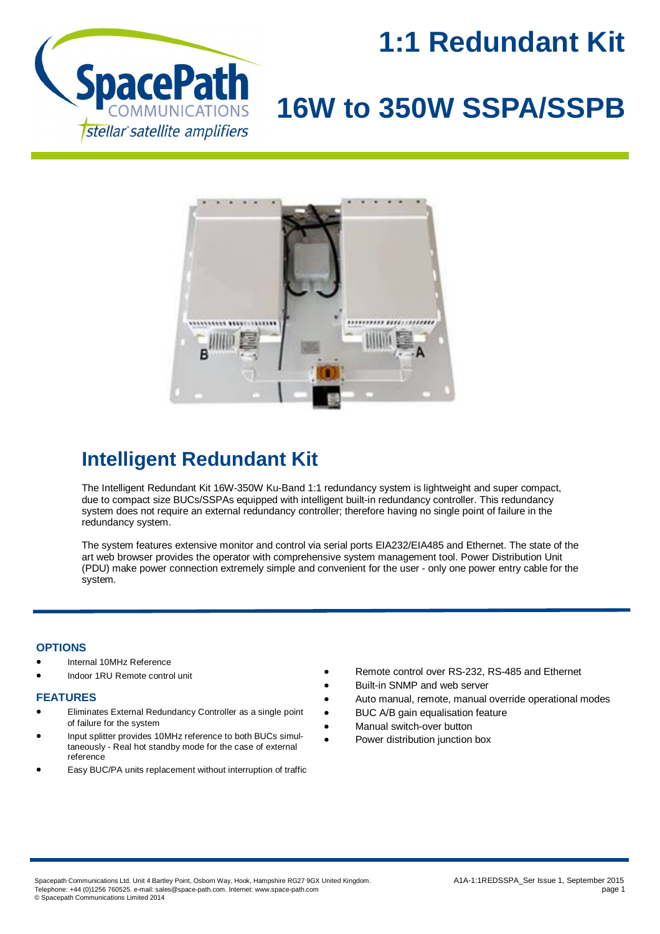

## **1:1 Redundant Kit**

# **16W to 350W SSPA/SSPB**



### **Intelligent Redundant Kit**

The Intelligent Redundant Kit 16W-350W Ku-Band 1:1 redundancy system is lightweight and super compact, due to compact size BUCs/SSPAs equipped with intelligent built-in redundancy controller. This redundancy system does not require an external redundancy controller; therefore having no single point of failure in the redundancy system.

The system features extensive monitor and control via serial ports EIA232/EIA485 and Ethernet. The state of the art web browser provides the operator with comprehensive system management tool. Power Distribution Unit (PDU) make power connection extremely simple and convenient for the user - only one power entry cable for the system.

### **OPTIONS**

- Internal 10MHz Reference
- Indoor 1RU Remote control unit

#### **FEATURES**

- Eliminates External Redundancy Controller as a single point of failure for the system
- Input splitter provides 10MHz reference to both BUCs simultaneously - Real hot standby mode for the case of external reference
- Easy BUC/PA units replacement without interruption of traffic
- Remote control over RS-232, RS-485 and Ethernet
- Built-in SNMP and web server
- Auto manual, remote, manual override operational modes
- BUC A/B gain equalisation feature
- Manual switch-over button
- Power distribution junction box